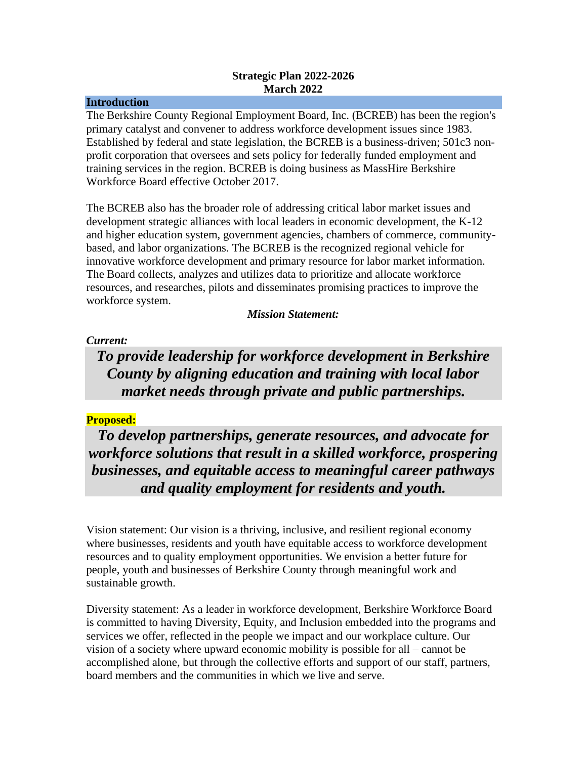### **Strategic Plan 2022-2026 March 2022**

#### **Introduction**

The Berkshire County Regional Employment Board, Inc. (BCREB) has been the region's primary catalyst and convener to address workforce development issues since 1983. Established by federal and state legislation, the BCREB is a business-driven; 501c3 nonprofit corporation that oversees and sets policy for federally funded employment and training services in the region. BCREB is doing business as MassHire Berkshire Workforce Board effective October 2017.

The BCREB also has the broader role of addressing critical labor market issues and development strategic alliances with local leaders in economic development, the K-12 and higher education system, government agencies, chambers of commerce, communitybased, and labor organizations. The BCREB is the recognized regional vehicle for innovative workforce development and primary resource for labor market information. The Board collects, analyzes and utilizes data to prioritize and allocate workforce resources, and researches, pilots and disseminates promising practices to improve the workforce system.

## *Mission Statement:*

## *Current:*

*To provide leadership for workforce development in Berkshire County by aligning education and training with local labor market needs through private and public partnerships.*

## **Proposed:**

*To develop partnerships, generate resources, and advocate for workforce solutions that result in a skilled workforce, prospering businesses, and equitable access to meaningful career pathways and quality employment for residents and youth.*

Vision statement: Our vision is a thriving, inclusive, and resilient regional economy where businesses, residents and youth have equitable access to workforce development resources and to quality employment opportunities. We envision a better future for people, youth and businesses of Berkshire County through meaningful work and sustainable growth.

Diversity statement: As a leader in workforce development, Berkshire Workforce Board is committed to having Diversity, Equity, and Inclusion embedded into the programs and services we offer, reflected in the people we impact and our workplace culture. Our vision of a society where upward economic mobility is possible for all – cannot be accomplished alone, but through the collective efforts and support of our staff, partners, board members and the communities in which we live and serve.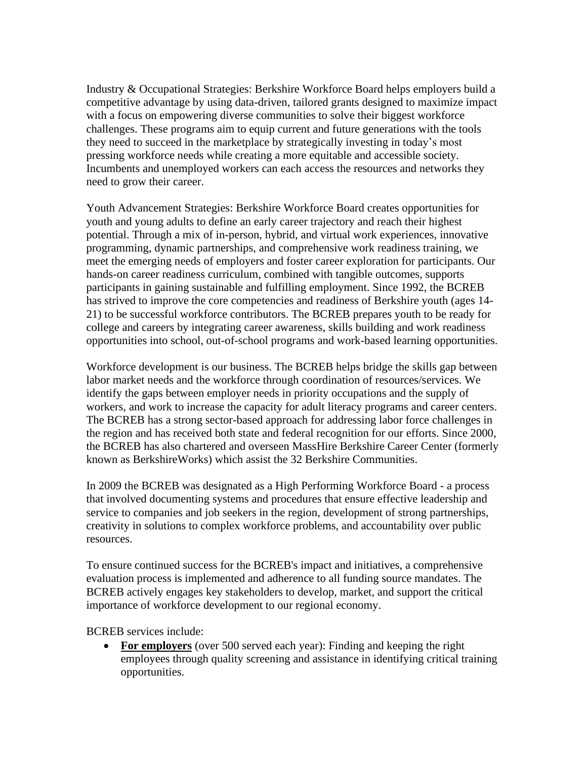Industry & Occupational Strategies: Berkshire Workforce Board helps employers build a competitive advantage by using data-driven, tailored grants designed to maximize impact with a focus on empowering diverse communities to solve their biggest workforce challenges. These programs aim to equip current and future generations with the tools they need to succeed in the marketplace by strategically investing in today's most pressing workforce needs while creating a more equitable and accessible society. Incumbents and unemployed workers can each access the resources and networks they need to grow their career.

Youth Advancement Strategies: Berkshire Workforce Board creates opportunities for youth and young adults to define an early career trajectory and reach their highest potential. Through a mix of in-person, hybrid, and virtual work experiences, innovative programming, dynamic partnerships, and comprehensive work readiness training, we meet the emerging needs of employers and foster career exploration for participants. Our hands-on career readiness curriculum, combined with tangible outcomes, supports participants in gaining sustainable and fulfilling employment. Since 1992, the BCREB has strived to improve the core competencies and readiness of Berkshire youth (ages 14- 21) to be successful workforce contributors. The BCREB prepares youth to be ready for college and careers by integrating career awareness, skills building and work readiness opportunities into school, out-of-school programs and work-based learning opportunities.

Workforce development is our business. The BCREB helps bridge the skills gap between labor market needs and the workforce through coordination of resources/services. We identify the gaps between employer needs in priority occupations and the supply of workers, and work to increase the capacity for adult literacy programs and career centers. The BCREB has a strong sector-based approach for addressing labor force challenges in the region and has received both state and federal recognition for our efforts. Since 2000, the BCREB has also chartered and overseen MassHire Berkshire Career Center (formerly known as BerkshireWorks) which assist the 32 Berkshire Communities.

In 2009 the BCREB was designated as a High Performing Workforce Board - a process that involved documenting systems and procedures that ensure effective leadership and service to companies and job seekers in the region, development of strong partnerships, creativity in solutions to complex workforce problems, and accountability over public resources.

To ensure continued success for the BCREB's impact and initiatives, a comprehensive evaluation process is implemented and adherence to all funding source mandates. The BCREB actively engages key stakeholders to develop, market, and support the critical importance of workforce development to our regional economy.

BCREB services include:

• **For employers** (over 500 served each year): Finding and keeping the right employees through quality screening and assistance in identifying critical training opportunities.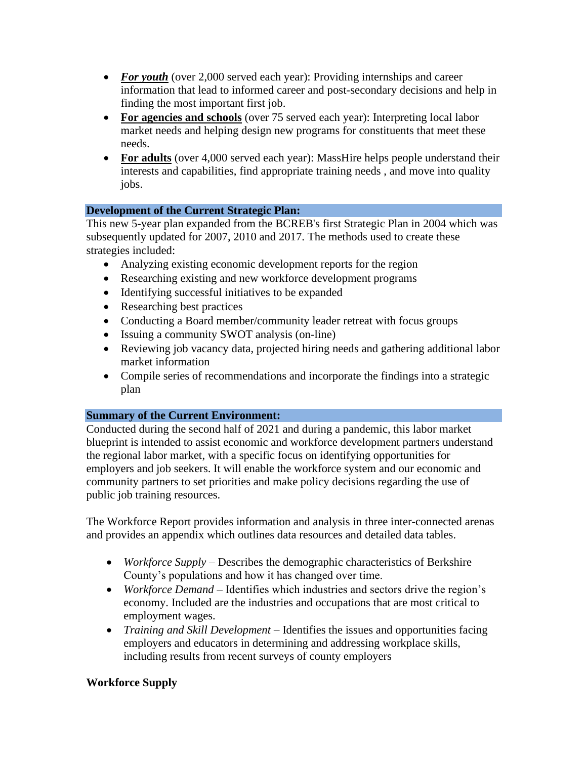- *For youth* (over 2,000 served each year): Providing internships and career information that lead to informed career and post-secondary decisions and help in finding the most important first job.
- **For agencies and schools** (over 75 served each year): Interpreting local labor market needs and helping design new programs for constituents that meet these needs.
- For **adults** (over 4,000 served each year): MassHire helps people understand their interests and capabilities, find appropriate training needs , and move into quality jobs.

## **Development of the Current Strategic Plan:**

This new 5-year plan expanded from the BCREB's first Strategic Plan in 2004 which was subsequently updated for 2007, 2010 and 2017. The methods used to create these strategies included:

- Analyzing existing economic development reports for the region
- Researching existing and new workforce development programs
- Identifying successful initiatives to be expanded
- Researching best practices
- Conducting a Board member/community leader retreat with focus groups
- Issuing a community SWOT analysis (on-line)
- Reviewing job vacancy data, projected hiring needs and gathering additional labor market information
- Compile series of recommendations and incorporate the findings into a strategic plan

## **Summary of the Current Environment:**

Conducted during the second half of 2021 and during a pandemic, this labor market blueprint is intended to assist economic and workforce development partners understand the regional labor market, with a specific focus on identifying opportunities for employers and job seekers. It will enable the workforce system and our economic and community partners to set priorities and make policy decisions regarding the use of public job training resources.

The Workforce Report provides information and analysis in three inter-connected arenas and provides an appendix which outlines data resources and detailed data tables.

- *Workforce Supply* Describes the demographic characteristics of Berkshire County's populations and how it has changed over time.
- *Workforce Demand* Identifies which industries and sectors drive the region's economy. Included are the industries and occupations that are most critical to employment wages.
- *Training and Skill Development* Identifies the issues and opportunities facing employers and educators in determining and addressing workplace skills, including results from recent surveys of county employers

## **Workforce Supply**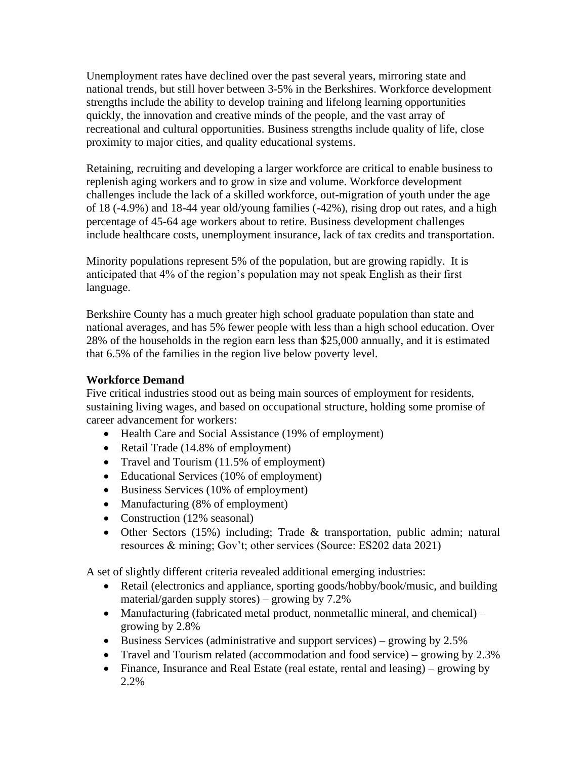Unemployment rates have declined over the past several years, mirroring state and national trends, but still hover between 3-5% in the Berkshires. Workforce development strengths include the ability to develop training and lifelong learning opportunities quickly, the innovation and creative minds of the people, and the vast array of recreational and cultural opportunities. Business strengths include quality of life, close proximity to major cities, and quality educational systems.

Retaining, recruiting and developing a larger workforce are critical to enable business to replenish aging workers and to grow in size and volume. Workforce development challenges include the lack of a skilled workforce, out-migration of youth under the age of 18 (-4.9%) and 18-44 year old/young families (-42%), rising drop out rates, and a high percentage of 45-64 age workers about to retire. Business development challenges include healthcare costs, unemployment insurance, lack of tax credits and transportation.

Minority populations represent 5% of the population, but are growing rapidly. It is anticipated that 4% of the region's population may not speak English as their first language.

Berkshire County has a much greater high school graduate population than state and national averages, and has 5% fewer people with less than a high school education. Over 28% of the households in the region earn less than \$25,000 annually, and it is estimated that 6.5% of the families in the region live below poverty level.

## **Workforce Demand**

Five critical industries stood out as being main sources of employment for residents, sustaining living wages, and based on occupational structure, holding some promise of career advancement for workers:

- Health Care and Social Assistance (19% of employment)
- Retail Trade (14.8% of employment)
- Travel and Tourism (11.5% of employment)
- Educational Services (10% of employment)
- Business Services (10% of employment)
- Manufacturing (8% of employment)
- Construction (12% seasonal)
- Other Sectors (15%) including; Trade & transportation, public admin; natural resources & mining; Gov't; other services (Source: ES202 data 2021)

A set of slightly different criteria revealed additional emerging industries:

- Retail (electronics and appliance, sporting goods/hobby/book/music, and building material/garden supply stores) – growing by 7.2%
- Manufacturing (fabricated metal product, nonmetallic mineral, and chemical) growing by 2.8%
- Business Services (administrative and support services) growing by 2.5%
- Travel and Tourism related (accommodation and food service) growing by 2.3%
- Finance, Insurance and Real Estate (real estate, rental and leasing) growing by 2.2%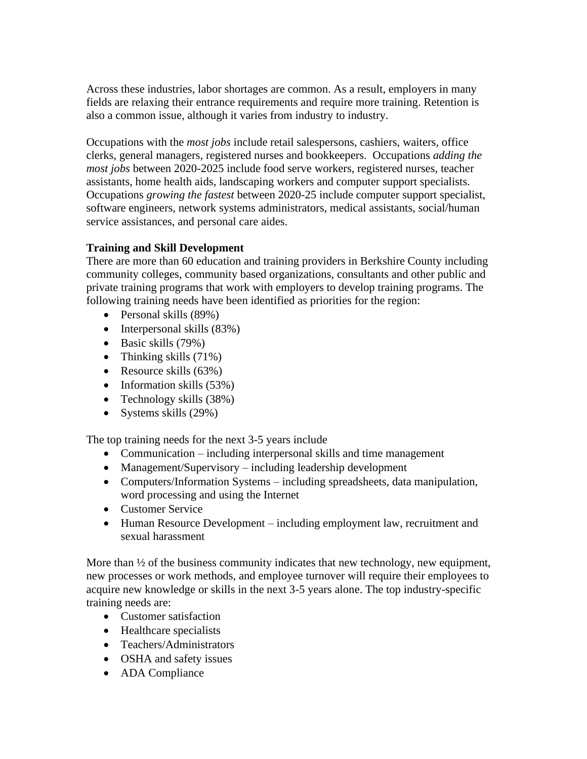Across these industries, labor shortages are common. As a result, employers in many fields are relaxing their entrance requirements and require more training. Retention is also a common issue, although it varies from industry to industry.

Occupations with the *most jobs* include retail salespersons, cashiers, waiters, office clerks, general managers, registered nurses and bookkeepers. Occupations *adding the most jobs* between 2020-2025 include food serve workers, registered nurses, teacher assistants, home health aids, landscaping workers and computer support specialists. Occupations *growing the fastest* between 2020-25 include computer support specialist, software engineers, network systems administrators, medical assistants, social/human service assistances, and personal care aides.

## **Training and Skill Development**

There are more than 60 education and training providers in Berkshire County including community colleges, community based organizations, consultants and other public and private training programs that work with employers to develop training programs. The following training needs have been identified as priorities for the region:

- Personal skills (89%)
- Interpersonal skills (83%)
- Basic skills (79%)
- Thinking skills  $(71\%)$
- Resource skills (63%)
- Information skills (53%)
- Technology skills (38%)
- Systems skills (29%)

The top training needs for the next 3-5 years include

- Communication including interpersonal skills and time management
- Management/Supervisory including leadership development
- Computers/Information Systems including spreadsheets, data manipulation, word processing and using the Internet
- Customer Service
- Human Resource Development including employment law, recruitment and sexual harassment

More than  $\frac{1}{2}$  of the business community indicates that new technology, new equipment, new processes or work methods, and employee turnover will require their employees to acquire new knowledge or skills in the next 3-5 years alone. The top industry-specific training needs are:

- Customer satisfaction
- Healthcare specialists
- Teachers/Administrators
- OSHA and safety issues
- ADA Compliance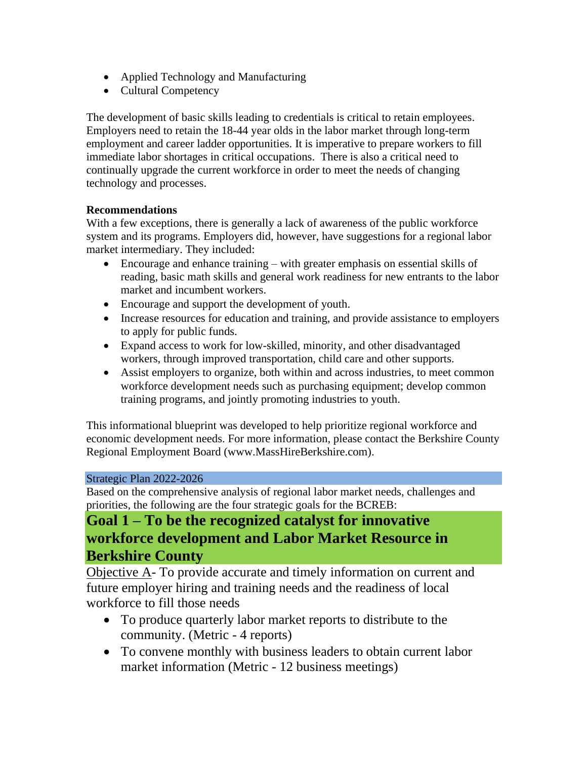- Applied Technology and Manufacturing
- Cultural Competency

The development of basic skills leading to credentials is critical to retain employees. Employers need to retain the 18-44 year olds in the labor market through long-term employment and career ladder opportunities. It is imperative to prepare workers to fill immediate labor shortages in critical occupations. There is also a critical need to continually upgrade the current workforce in order to meet the needs of changing technology and processes.

## **Recommendations**

With a few exceptions, there is generally a lack of awareness of the public workforce system and its programs. Employers did, however, have suggestions for a regional labor market intermediary. They included:

- Encourage and enhance training with greater emphasis on essential skills of reading, basic math skills and general work readiness for new entrants to the labor market and incumbent workers.
- Encourage and support the development of youth.
- Increase resources for education and training, and provide assistance to employers to apply for public funds.
- Expand access to work for low-skilled, minority, and other disadvantaged workers, through improved transportation, child care and other supports.
- Assist employers to organize, both within and across industries, to meet common workforce development needs such as purchasing equipment; develop common training programs, and jointly promoting industries to youth.

This informational blueprint was developed to help prioritize regional workforce and economic development needs. For more information, please contact the Berkshire County Regional Employment Board (www.MassHireBerkshire.com).

#### Strategic Plan 2022-2026

Based on the comprehensive analysis of regional labor market needs, challenges and priorities, the following are the four strategic goals for the BCREB:

## **Goal 1 – To be the recognized catalyst for innovative workforce development and Labor Market Resource in Berkshire County**

Objective A- To provide accurate and timely information on current and future employer hiring and training needs and the readiness of local workforce to fill those needs

- To produce quarterly labor market reports to distribute to the community. (Metric - 4 reports)
- To convene monthly with business leaders to obtain current labor market information (Metric - 12 business meetings)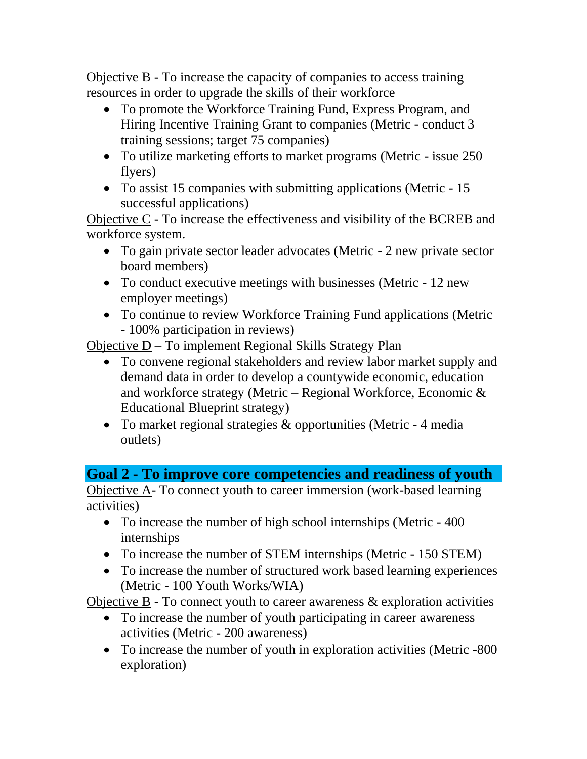Objective B - To increase the capacity of companies to access training resources in order to upgrade the skills of their workforce

- To promote the Workforce Training Fund, Express Program, and Hiring Incentive Training Grant to companies (Metric - conduct 3 training sessions; target 75 companies)
- To utilize marketing efforts to market programs (Metric issue 250) flyers)
- To assist 15 companies with submitting applications (Metric 15 successful applications)

Objective C - To increase the effectiveness and visibility of the BCREB and workforce system.

- To gain private sector leader advocates (Metric 2 new private sector board members)
- To conduct executive meetings with businesses (Metric 12 new employer meetings)
- To continue to review Workforce Training Fund applications (Metric - 100% participation in reviews)

Objective D – To implement Regional Skills Strategy Plan

- To convene regional stakeholders and review labor market supply and demand data in order to develop a countywide economic, education and workforce strategy (Metric – Regional Workforce, Economic & Educational Blueprint strategy)
- To market regional strategies & opportunities (Metric 4 media) outlets)

## **Goal 2 - To improve core competencies and readiness of youth**

Objective A- To connect youth to career immersion (work-based learning activities)

- To increase the number of high school internships (Metric 400) internships
- To increase the number of STEM internships (Metric 150 STEM)
- To increase the number of structured work based learning experiences (Metric - 100 Youth Works/WIA)

Objective B - To connect youth to career awareness & exploration activities

- To increase the number of youth participating in career awareness activities (Metric - 200 awareness)
- To increase the number of youth in exploration activities (Metric -800) exploration)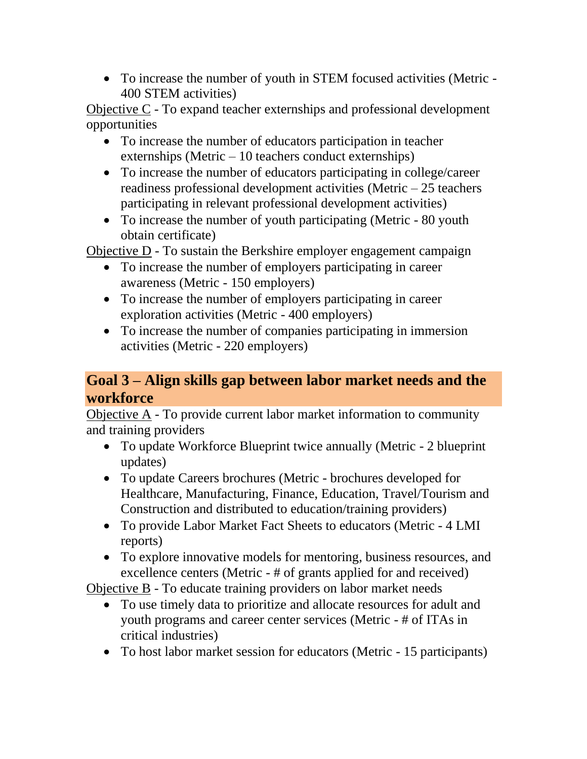• To increase the number of youth in STEM focused activities (Metric - 400 STEM activities)

Objective C - To expand teacher externships and professional development opportunities

- To increase the number of educators participation in teacher externships (Metric – 10 teachers conduct externships)
- To increase the number of educators participating in college/career readiness professional development activities (Metric – 25 teachers participating in relevant professional development activities)
- To increase the number of youth participating (Metric 80 youth obtain certificate)

Objective D - To sustain the Berkshire employer engagement campaign

- To increase the number of employers participating in career awareness (Metric - 150 employers)
- To increase the number of employers participating in career exploration activities (Metric - 400 employers)
- To increase the number of companies participating in immersion activities (Metric - 220 employers)

# **Goal 3 – Align skills gap between labor market needs and the workforce**

Objective A - To provide current labor market information to community and training providers

- To update Workforce Blueprint twice annually (Metric 2 blueprint updates)
- To update Careers brochures (Metric brochures developed for Healthcare, Manufacturing, Finance, Education, Travel/Tourism and Construction and distributed to education/training providers)
- To provide Labor Market Fact Sheets to educators (Metric 4 LMI reports)
- To explore innovative models for mentoring, business resources, and excellence centers (Metric - # of grants applied for and received)

Objective B - To educate training providers on labor market needs

- To use timely data to prioritize and allocate resources for adult and youth programs and career center services (Metric - # of ITAs in critical industries)
- To host labor market session for educators (Metric 15 participants)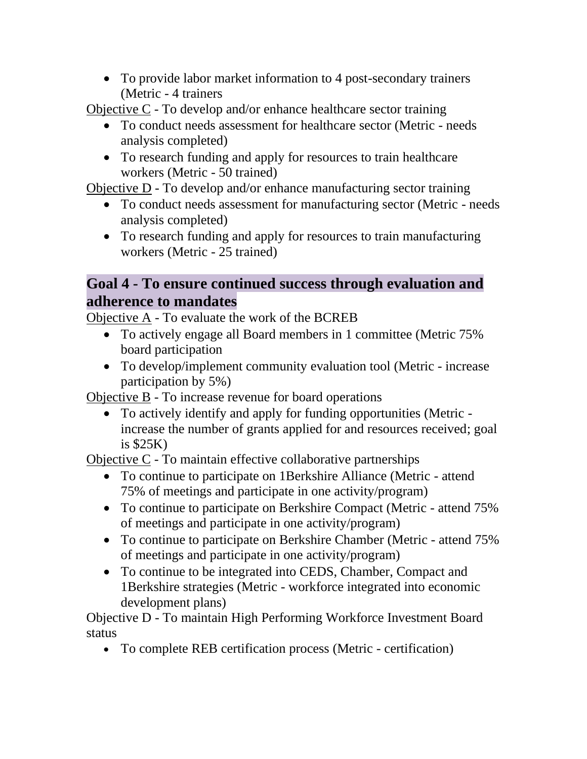• To provide labor market information to 4 post-secondary trainers (Metric - 4 trainers

Objective C - To develop and/or enhance healthcare sector training

- To conduct needs assessment for healthcare sector (Metric needs analysis completed)
- To research funding and apply for resources to train healthcare workers (Metric - 50 trained)

Objective D - To develop and/or enhance manufacturing sector training

- To conduct needs assessment for manufacturing sector (Metric needs analysis completed)
- To research funding and apply for resources to train manufacturing workers (Metric - 25 trained)

# **Goal 4 - To ensure continued success through evaluation and adherence to mandates**

Objective A - To evaluate the work of the BCREB

- To actively engage all Board members in 1 committee (Metric 75% board participation
- To develop/implement community evaluation tool (Metric increase participation by 5%)

Objective B - To increase revenue for board operations

• To actively identify and apply for funding opportunities (Metric increase the number of grants applied for and resources received; goal is \$25K)

Objective C - To maintain effective collaborative partnerships

- To continue to participate on 1 Berkshire Alliance (Metric attend 75% of meetings and participate in one activity/program)
- To continue to participate on Berkshire Compact (Metric attend 75% of meetings and participate in one activity/program)
- To continue to participate on Berkshire Chamber (Metric attend 75% of meetings and participate in one activity/program)
- To continue to be integrated into CEDS, Chamber, Compact and 1Berkshire strategies (Metric - workforce integrated into economic development plans)

Objective D - To maintain High Performing Workforce Investment Board status

• To complete REB certification process (Metric - certification)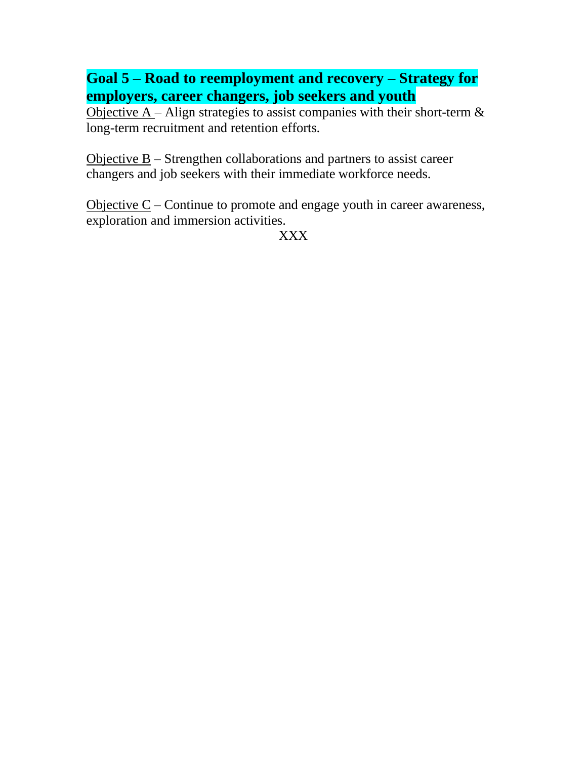**Goal 5 – Road to reemployment and recovery – Strategy for employers, career changers, job seekers and youth**

Objective  $A -$ Align strategies to assist companies with their short-term  $\&$ long-term recruitment and retention efforts.

Objective B – Strengthen collaborations and partners to assist career changers and job seekers with their immediate workforce needs.

Objective  $C$  – Continue to promote and engage youth in career awareness, exploration and immersion activities.

XXX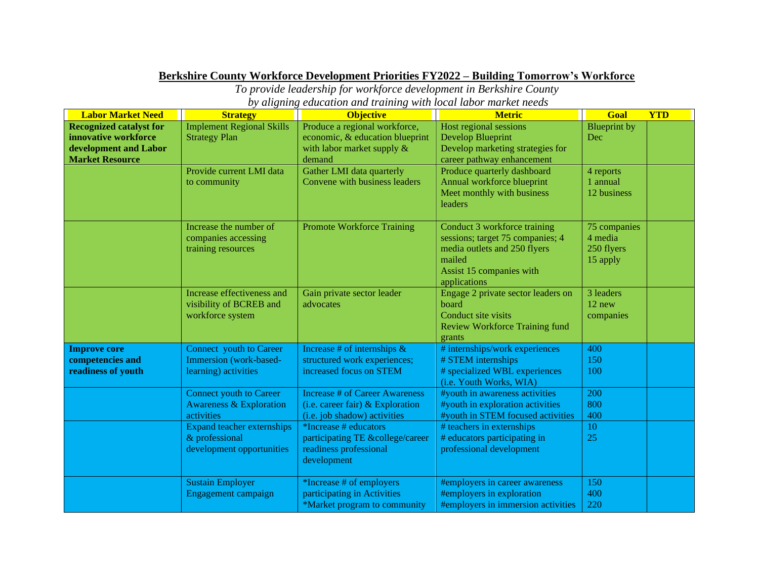## **Berkshire County Workforce Development Priorities FY2022 – Building Tomorrow's Workforce**

*To provide leadership for workforce development in Berkshire County by aligning education and training with local labor market needs*

| <b>Labor Market Need</b>                                                                                  | <b>Strategy</b>                                                                    | <b>Objective</b>                                                                                            | <b>Metric</b>                                                                                                                                          | Goal                                              | <b>YTD</b> |
|-----------------------------------------------------------------------------------------------------------|------------------------------------------------------------------------------------|-------------------------------------------------------------------------------------------------------------|--------------------------------------------------------------------------------------------------------------------------------------------------------|---------------------------------------------------|------------|
| <b>Recognized catalyst for</b><br>innovative workforce<br>development and Labor<br><b>Market Resource</b> | <b>Implement Regional Skills</b><br><b>Strategy Plan</b>                           | Produce a regional workforce,<br>economic, & education blueprint<br>with labor market supply $\&$<br>demand | Host regional sessions<br><b>Develop Blueprint</b><br>Develop marketing strategies for<br>career pathway enhancement                                   | <b>Blueprint</b> by<br>Dec                        |            |
|                                                                                                           | Provide current LMI data<br>to community                                           | Gather LMI data quarterly<br>Convene with business leaders                                                  | Produce quarterly dashboard<br>Annual workforce blueprint<br>Meet monthly with business<br>leaders                                                     | 4 reports<br>1 annual<br>12 business              |            |
|                                                                                                           | Increase the number of<br>companies accessing<br>training resources                | <b>Promote Workforce Training</b>                                                                           | Conduct 3 workforce training<br>sessions; target 75 companies; 4<br>media outlets and 250 flyers<br>mailed<br>Assist 15 companies with<br>applications | 75 companies<br>4 media<br>250 flyers<br>15 apply |            |
|                                                                                                           | Increase effectiveness and<br>visibility of BCREB and<br>workforce system          | Gain private sector leader<br>advocates                                                                     | Engage 2 private sector leaders on<br>board<br>Conduct site visits<br><b>Review Workforce Training fund</b><br>grants                                  | 3 leaders<br>$12$ new<br>companies                |            |
| <b>Improve core</b><br>competencies and<br>readiness of youth                                             | Connect youth to Career<br>Immersion (work-based-<br>learning) activities          | Increase # of internships $\&$<br>structured work experiences;<br>increased focus on STEM                   | # internships/work experiences<br># STEM internships<br># specialized WBL experiences<br>(i.e. Youth Works, WIA)                                       | 400<br>150<br>100                                 |            |
|                                                                                                           | <b>Connect youth to Career</b><br><b>Awareness &amp; Exploration</b><br>activities | <b>Increase # of Career Awareness</b><br>(i.e. career fair) $&$ Exploration<br>(i.e. job shadow) activities | #youth in awareness activities<br>#youth in exploration activities<br>#youth in STEM focused activities                                                | 200<br>800<br>400                                 |            |
|                                                                                                           | <b>Expand teacher externships</b><br>& professional<br>development opportunities   | *Increase # educators<br>participating TE &college/career<br>readiness professional<br>development          | # teachers in externships<br># educators participating in<br>professional development                                                                  | 10<br>25                                          |            |
|                                                                                                           | <b>Sustain Employer</b><br>Engagement campaign                                     | *Increase # of employers<br>participating in Activities<br>*Market program to community                     | #employers in career awareness<br>#employers in exploration<br>#employers in immersion activities                                                      | 150<br>400<br>220                                 |            |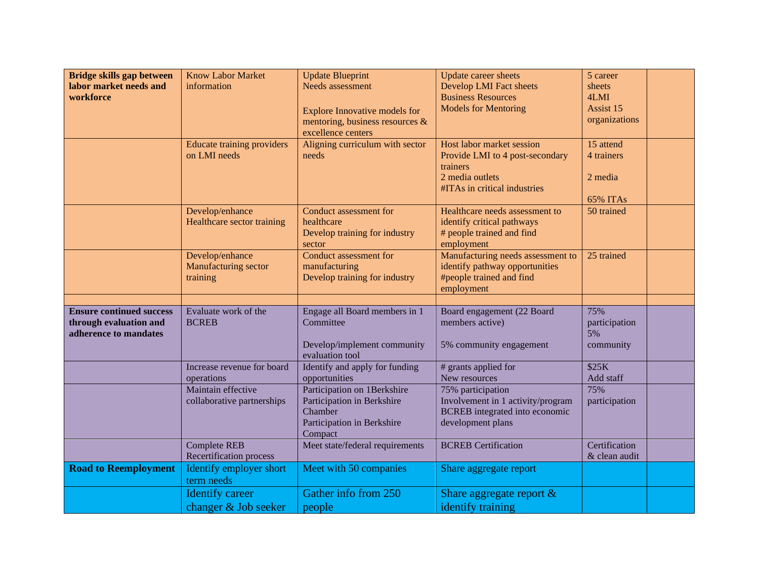| Bridge skills gap between<br>labor market needs and<br>workforce                   | <b>Know Labor Market</b><br>information               | <b>Update Blueprint</b><br>Needs assessment<br><b>Explore Innovative models for</b><br>mentoring, business resources $\&$<br>excellence centers | Update career sheets<br><b>Develop LMI Fact sheets</b><br><b>Business Resources</b><br><b>Models for Mentoring</b>          | 5 career<br>sheets<br>4LMI<br>Assist 15<br>organizations |
|------------------------------------------------------------------------------------|-------------------------------------------------------|-------------------------------------------------------------------------------------------------------------------------------------------------|-----------------------------------------------------------------------------------------------------------------------------|----------------------------------------------------------|
|                                                                                    | <b>Educate training providers</b><br>on LMI needs     | Aligning curriculum with sector<br>needs                                                                                                        | Host labor market session<br>Provide LMI to 4 post-secondary<br>trainers<br>2 media outlets<br>#ITAs in critical industries | 15 attend<br>4 trainers<br>2 media<br>65% ITAs           |
|                                                                                    | Develop/enhance<br>Healthcare sector training         | Conduct assessment for<br>healthcare<br>Develop training for industry<br>sector                                                                 | Healthcare needs assessment to<br>identify critical pathways<br># people trained and find<br>employment                     | 50 trained                                               |
|                                                                                    | Develop/enhance<br>Manufacturing sector<br>training   | Conduct assessment for<br>manufacturing<br>Develop training for industry                                                                        | Manufacturing needs assessment to<br>identify pathway opportunities<br>#people trained and find<br>employment               | 25 trained                                               |
| <b>Ensure continued success</b><br>through evaluation and<br>adherence to mandates | Evaluate work of the<br><b>BCREB</b>                  | Engage all Board members in 1<br>Committee<br>Develop/implement community<br>evaluation tool                                                    | Board engagement (22 Board<br>members active)<br>5% community engagement                                                    | 75%<br>participation<br>5%<br>community                  |
|                                                                                    | Increase revenue for board<br>operations              | Identify and apply for funding<br>opportunities                                                                                                 | # grants applied for<br>New resources                                                                                       | \$25K<br>Add staff                                       |
|                                                                                    | Maintain effective<br>collaborative partnerships      | Participation on 1Berkshire<br>Participation in Berkshire<br>Chamber<br>Participation in Berkshire<br>Compact                                   | 75% participation<br>Involvement in 1 activity/program<br>BCREB integrated into economic<br>development plans               | 75%<br>participation                                     |
|                                                                                    | <b>Complete REB</b><br><b>Recertification process</b> | Meet state/federal requirements                                                                                                                 | <b>BCREB</b> Certification                                                                                                  | Certification<br>& clean audit                           |
| <b>Road to Reemployment</b>                                                        | Identify employer short<br>term needs                 | Meet with 50 companies                                                                                                                          | Share aggregate report                                                                                                      |                                                          |
|                                                                                    | <b>Identify career</b><br>changer & Job seeker        | Gather info from 250<br>people                                                                                                                  | Share aggregate report $\&$<br>identify training                                                                            |                                                          |